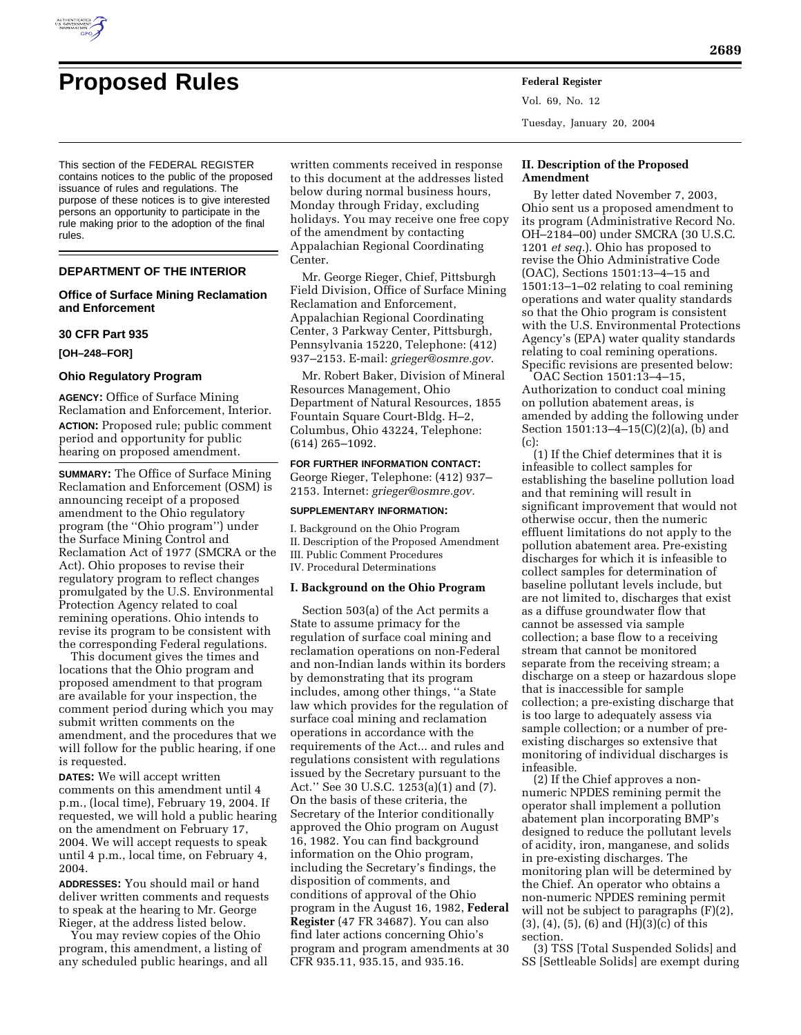

# **Proposed Rules Federal Register**

This section of the FEDERAL REGISTER contains notices to the public of the proposed issuance of rules and regulations. The purpose of these notices is to give interested persons an opportunity to participate in the rule making prior to the adoption of the final

## **DEPARTMENT OF THE INTERIOR**

## **Office of Surface Mining Reclamation and Enforcement**

### **30 CFR Part 935**

**[OH–248–FOR]** 

rules.

#### **Ohio Regulatory Program**

**AGENCY:** Office of Surface Mining Reclamation and Enforcement, Interior. **ACTION:** Proposed rule; public comment period and opportunity for public hearing on proposed amendment.

**SUMMARY:** The Office of Surface Mining Reclamation and Enforcement (OSM) is announcing receipt of a proposed amendment to the Ohio regulatory program (the ''Ohio program'') under the Surface Mining Control and Reclamation Act of 1977 (SMCRA or the Act). Ohio proposes to revise their regulatory program to reflect changes promulgated by the U.S. Environmental Protection Agency related to coal remining operations. Ohio intends to revise its program to be consistent with the corresponding Federal regulations.

This document gives the times and locations that the Ohio program and proposed amendment to that program are available for your inspection, the comment period during which you may submit written comments on the amendment, and the procedures that we will follow for the public hearing, if one is requested.

**DATES:** We will accept written comments on this amendment until 4 p.m., (local time), February 19, 2004. If requested, we will hold a public hearing on the amendment on February 17, 2004. We will accept requests to speak until 4 p.m., local time, on February 4, 2004.

**ADDRESSES:** You should mail or hand deliver written comments and requests to speak at the hearing to Mr. George Rieger, at the address listed below.

You may review copies of the Ohio program, this amendment, a listing of any scheduled public hearings, and all written comments received in response to this document at the addresses listed below during normal business hours, Monday through Friday, excluding holidays. You may receive one free copy of the amendment by contacting Appalachian Regional Coordinating Center.

Mr. George Rieger, Chief, Pittsburgh Field Division, Office of Surface Mining Reclamation and Enforcement, Appalachian Regional Coordinating Center, 3 Parkway Center, Pittsburgh, Pennsylvania 15220, Telephone: (412) 937–2153. E-mail: *grieger@osmre.gov.*

Mr. Robert Baker, Division of Mineral Resources Management, Ohio Department of Natural Resources, 1855 Fountain Square Court-Bldg. H–2, Columbus, Ohio 43224, Telephone: (614) 265–1092.

**FOR FURTHER INFORMATION CONTACT:** George Rieger, Telephone: (412) 937– 2153. Internet: *grieger@osmre.gov.*

### **SUPPLEMENTARY INFORMATION:**

I. Background on the Ohio Program II. Description of the Proposed Amendment III. Public Comment Procedures IV. Procedural Determinations

#### **I. Background on the Ohio Program**

Section 503(a) of the Act permits a State to assume primacy for the regulation of surface coal mining and reclamation operations on non-Federal and non-Indian lands within its borders by demonstrating that its program includes, among other things, ''a State law which provides for the regulation of surface coal mining and reclamation operations in accordance with the requirements of the Act... and rules and regulations consistent with regulations issued by the Secretary pursuant to the Act.'' See 30 U.S.C. 1253(a)(1) and (7). On the basis of these criteria, the Secretary of the Interior conditionally approved the Ohio program on August 16, 1982. You can find background information on the Ohio program, including the Secretary's findings, the disposition of comments, and conditions of approval of the Ohio program in the August 16, 1982, **Federal Register** (47 FR 34687). You can also find later actions concerning Ohio's program and program amendments at 30 CFR 935.11, 935.15, and 935.16.

Vol. 69, No. 12 Tuesday, January 20, 2004

## **II. Description of the Proposed Amendment**

By letter dated November 7, 2003, Ohio sent us a proposed amendment to its program (Administrative Record No. OH–2184–00) under SMCRA (30 U.S.C. 1201 *et seq.*). Ohio has proposed to revise the Ohio Administrative Code (OAC), Sections 1501:13–4–15 and 1501:13–1–02 relating to coal remining operations and water quality standards so that the Ohio program is consistent with the U.S. Environmental Protections Agency's (EPA) water quality standards relating to coal remining operations. Specific revisions are presented below:

OAC Section 1501:13–4–15, Authorization to conduct coal mining on pollution abatement areas, is amended by adding the following under Section 1501:13–4–15(C)(2)(a), (b) and (c):

(1) If the Chief determines that it is infeasible to collect samples for establishing the baseline pollution load and that remining will result in significant improvement that would not otherwise occur, then the numeric effluent limitations do not apply to the pollution abatement area. Pre-existing discharges for which it is infeasible to collect samples for determination of baseline pollutant levels include, but are not limited to, discharges that exist as a diffuse groundwater flow that cannot be assessed via sample collection; a base flow to a receiving stream that cannot be monitored separate from the receiving stream; a discharge on a steep or hazardous slope that is inaccessible for sample collection; a pre-existing discharge that is too large to adequately assess via sample collection; or a number of preexisting discharges so extensive that monitoring of individual discharges is infeasible.

(2) If the Chief approves a nonnumeric NPDES remining permit the operator shall implement a pollution abatement plan incorporating BMP's designed to reduce the pollutant levels of acidity, iron, manganese, and solids in pre-existing discharges. The monitoring plan will be determined by the Chief. An operator who obtains a non-numeric NPDES remining permit will not be subject to paragraphs  $(F)(2)$ , (3), (4), (5), (6) and (H)(3)(c) of this section.

(3) TSS [Total Suspended Solids] and SS [Settleable Solids] are exempt during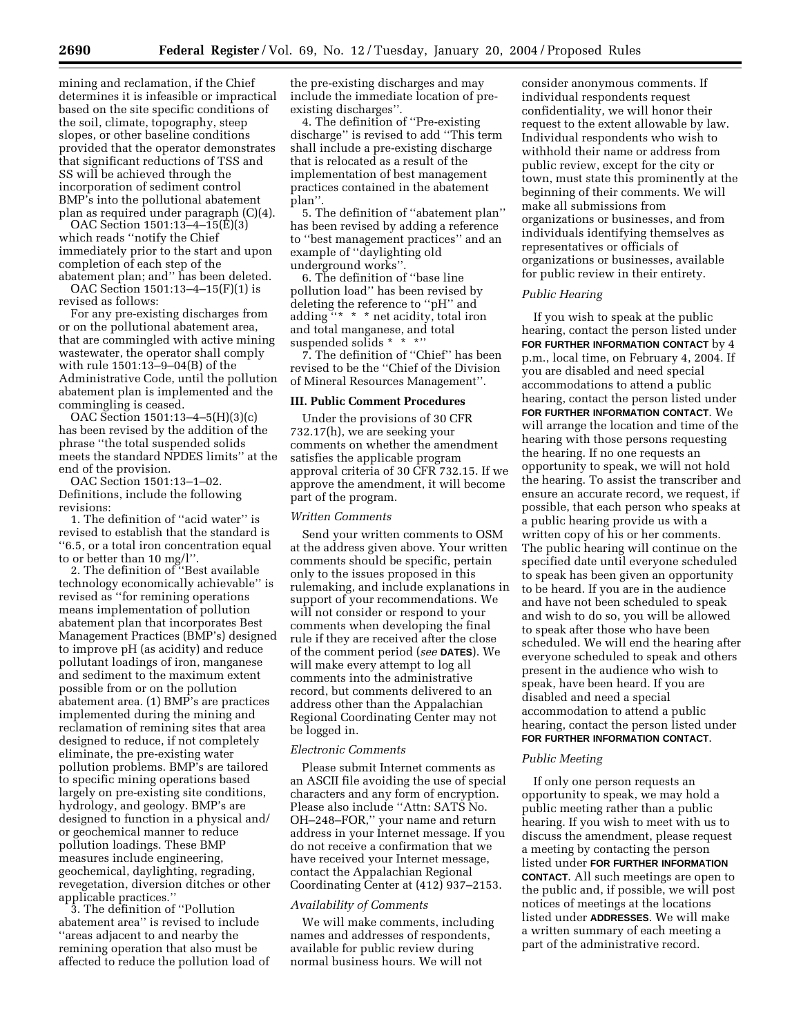mining and reclamation, if the Chief determines it is infeasible or impractical based on the site specific conditions of the soil, climate, topography, steep slopes, or other baseline conditions provided that the operator demonstrates that significant reductions of TSS and SS will be achieved through the incorporation of sediment control BMP's into the pollutional abatement plan as required under paragraph (C)(4).

OAC Section 1501:13–4–15(E)(3) which reads ''notify the Chief immediately prior to the start and upon completion of each step of the abatement plan; and'' has been deleted.

OAC Section 1501:13–4–15(F)(1) is revised as follows:

For any pre-existing discharges from or on the pollutional abatement area, that are commingled with active mining wastewater, the operator shall comply with rule 1501:13–9–04(B) of the Administrative Code, until the pollution abatement plan is implemented and the commingling is ceased.

OAC Section 1501:13–4–5(H)(3)(c) has been revised by the addition of the phrase ''the total suspended solids meets the standard NPDES limits'' at the end of the provision.

OAC Section 1501:13–1–02. Definitions, include the following revisions:

1. The definition of ''acid water'' is revised to establish that the standard is ''6.5, or a total iron concentration equal to or better than 10 mg/l''.

2. The definition of ''Best available technology economically achievable'' is revised as ''for remining operations means implementation of pollution abatement plan that incorporates Best Management Practices (BMP's) designed to improve pH (as acidity) and reduce pollutant loadings of iron, manganese and sediment to the maximum extent possible from or on the pollution abatement area. (1) BMP's are practices implemented during the mining and reclamation of remining sites that area designed to reduce, if not completely eliminate, the pre-existing water pollution problems. BMP's are tailored to specific mining operations based largely on pre-existing site conditions, hydrology, and geology. BMP's are designed to function in a physical and/ or geochemical manner to reduce pollution loadings. These BMP measures include engineering, geochemical, daylighting, regrading, revegetation, diversion ditches or other applicable practices.''

3. The definition of ''Pollution abatement area'' is revised to include ''areas adjacent to and nearby the remining operation that also must be affected to reduce the pollution load of

the pre-existing discharges and may include the immediate location of preexisting discharges''.

4. The definition of ''Pre-existing discharge'' is revised to add ''This term shall include a pre-existing discharge that is relocated as a result of the implementation of best management practices contained in the abatement plan''.

5. The definition of ''abatement plan'' has been revised by adding a reference to ''best management practices'' and an example of ''daylighting old underground works''.

6. The definition of ''base line pollution load'' has been revised by deleting the reference to ''pH'' and adding "\* \* \* net acidity, total iron and total manganese, and total suspended solids \* \* \*''

7. The definition of ''Chief'' has been revised to be the ''Chief of the Division of Mineral Resources Management''.

## **III. Public Comment Procedures**

Under the provisions of 30 CFR 732.17(h), we are seeking your comments on whether the amendment satisfies the applicable program approval criteria of 30 CFR 732.15. If we approve the amendment, it will become part of the program.

## *Written Comments*

Send your written comments to OSM at the address given above. Your written comments should be specific, pertain only to the issues proposed in this rulemaking, and include explanations in support of your recommendations. We will not consider or respond to your comments when developing the final rule if they are received after the close of the comment period (*see* **DATES**). We will make every attempt to log all comments into the administrative record, but comments delivered to an address other than the Appalachian Regional Coordinating Center may not be logged in.

### *Electronic Comments*

Please submit Internet comments as an ASCII file avoiding the use of special characters and any form of encryption. Please also include ''Attn: SATS No. OH–248–FOR,'' your name and return address in your Internet message. If you do not receive a confirmation that we have received your Internet message, contact the Appalachian Regional Coordinating Center at (412) 937–2153.

#### *Availability of Comments*

We will make comments, including names and addresses of respondents, available for public review during normal business hours. We will not

consider anonymous comments. If individual respondents request confidentiality, we will honor their request to the extent allowable by law. Individual respondents who wish to withhold their name or address from public review, except for the city or town, must state this prominently at the beginning of their comments. We will make all submissions from organizations or businesses, and from individuals identifying themselves as representatives or officials of organizations or businesses, available for public review in their entirety.

#### *Public Hearing*

If you wish to speak at the public hearing, contact the person listed under **FOR FURTHER INFORMATION CONTACT** by 4 p.m., local time, on February 4, 2004. If you are disabled and need special accommodations to attend a public hearing, contact the person listed under **FOR FURTHER INFORMATION CONTACT**. We will arrange the location and time of the hearing with those persons requesting the hearing. If no one requests an opportunity to speak, we will not hold the hearing. To assist the transcriber and ensure an accurate record, we request, if possible, that each person who speaks at a public hearing provide us with a written copy of his or her comments. The public hearing will continue on the specified date until everyone scheduled to speak has been given an opportunity to be heard. If you are in the audience and have not been scheduled to speak and wish to do so, you will be allowed to speak after those who have been scheduled. We will end the hearing after everyone scheduled to speak and others present in the audience who wish to speak, have been heard. If you are disabled and need a special accommodation to attend a public hearing, contact the person listed under **FOR FURTHER INFORMATION CONTACT**.

#### *Public Meeting*

If only one person requests an opportunity to speak, we may hold a public meeting rather than a public hearing. If you wish to meet with us to discuss the amendment, please request a meeting by contacting the person listed under **FOR FURTHER INFORMATION CONTACT**. All such meetings are open to the public and, if possible, we will post notices of meetings at the locations listed under **ADDRESSES**. We will make a written summary of each meeting a part of the administrative record.